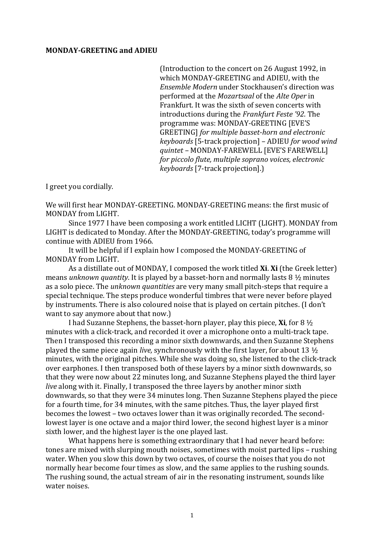## **MONDAY'GREETING-and-ADIEU**

(Introduction to the concert on 26 August 1992, in which MONDAY-GREETING and ADIEU, with the *Ensemble Modern* under Stockhausen's direction was performed at!the!*Mozartsaal* of!the!*Alte(Oper* in! Frankfurt. It was the sixth of seven concerts with introductions during the *Frankfurt Feste '92*. The programme was: MONDAY-GREETING [EVE'S GREETINGI for multiple basset-horn and electronic *keyboards* [5-track projection] – ADIEU *for wood wind quintet - MONDAY-FAREWELL [EVE'S FAREWELL] for piccolo flute, multiple soprano voices, electronic keyboards(*[7<track!projection].)

I greet you cordially.

We will first hear MONDAY-GREETING. MONDAY-GREETING means: the first music of MONDAY from LIGHT.

Since 1977 I have been composing a work entitled LICHT (LIGHT). MONDAY from LIGHT is dedicated to Monday. After the MONDAY-GREETING, today's programme will continue with ADIEU from 1966.

It will be helpful if I explain how I composed the MONDAY-GREETING of MONDAY from LIGHT.

As a distillate out of MONDAY, I composed the work titled **Xi. Xi** (the Greek letter) means *unknown quantity*. It is played by a basset-horn and normally lasts  $8\frac{1}{2}$  minutes as a solo piece. The *unknown quantities* are very many small pitch-steps that require a special technique. The steps produce wonderful timbres that were never before played by instruments. There is also coloured noise that is played on certain pitches. (I don't want to say anymore about that now.)

I had Suzanne Stephens, the basset-horn player, play this piece, **Xi**, for  $8\frac{1}{2}$ minutes with a click-track, and recorded it over a microphone onto a multi-track tape. Then I transposed this recording a minor sixth downwards, and then Suzanne Stephens played the same piece again *live*, synchronously with the first layer, for about 13  $\frac{1}{2}$ minutes, with the original pitches. While she was doing so, she listened to the click-track over earphones. I then transposed both of these layers by a minor sixth downwards, so that they were now about 22 minutes long, and Suzanne Stephens played the third layer *live* along with it. Finally, I transposed the three layers by another minor sixth downwards, so that they were 34 minutes long. Then Suzanne Stephens played the piece for a fourth time, for 34 minutes, with the same pitches. Thus, the layer played first becomes the lowest – two octaves lower than it was originally recorded. The secondlowest layer is one octave and a major third lower, the second highest layer is a minor sixth lower, and the highest layer is the one played last.

What happens here is something extraordinary that I had never heard before: tones are mixed with slurping mouth noises, sometimes with moist parted lips – rushing water. When you slow this down by two octaves, of course the noises that you do not normally hear become four times as slow, and the same applies to the rushing sounds. The rushing sound, the actual stream of air in the resonating instrument, sounds like water noises.